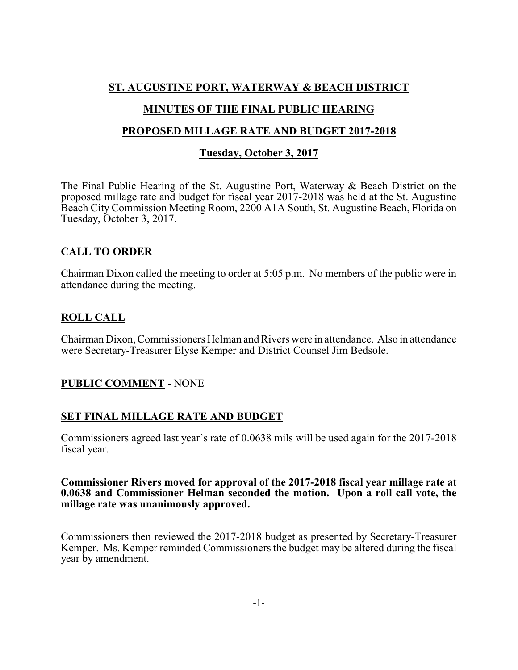# **ST. AUGUSTINE PORT, WATERWAY & BEACH DISTRICT**

# **MINUTES OF THE FINAL PUBLIC HEARING**

#### **PROPOSED MILLAGE RATE AND BUDGET 2017-2018**

#### **Tuesday, October 3, 2017**

The Final Public Hearing of the St. Augustine Port, Waterway & Beach District on the proposed millage rate and budget for fiscal year 2017-2018 was held at the St. Augustine Beach City Commission Meeting Room, 2200 A1A South, St. Augustine Beach, Florida on Tuesday, October 3, 2017.

# **CALL TO ORDER**

Chairman Dixon called the meeting to order at 5:05 p.m. No members of the public were in attendance during the meeting.

# **ROLL CALL**

Chairman Dixon, Commissioners Helman and Rivers were in attendance. Also in attendance were Secretary-Treasurer Elyse Kemper and District Counsel Jim Bedsole.

#### **PUBLIC COMMENT** - NONE

#### **SET FINAL MILLAGE RATE AND BUDGET**

Commissioners agreed last year's rate of 0.0638 mils will be used again for the 2017-2018 fiscal year.

#### **Commissioner Rivers moved for approval of the 2017-2018 fiscal year millage rate at 0.0638 and Commissioner Helman seconded the motion. Upon a roll call vote, the millage rate was unanimously approved.**

Commissioners then reviewed the 2017-2018 budget as presented by Secretary-Treasurer Kemper. Ms. Kemper reminded Commissioners the budget may be altered during the fiscal year by amendment.